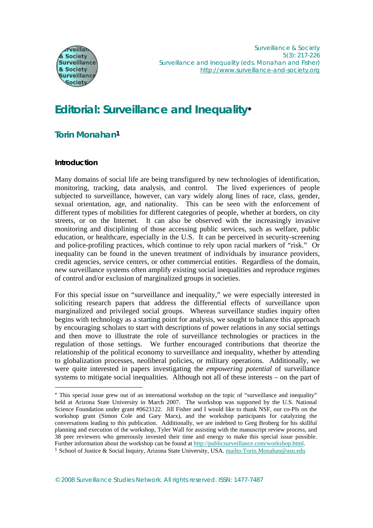

# **Editorial: Surveillance and Inequality**∗

## **Torin Monahan1**

### **Introduction**

 $\ddot{ }$ 

Many domains of social life are being transfigured by new technologies of identification, monitoring, tracking, data analysis, and control. The lived experiences of people subjected to surveillance, however, can vary widely along lines of race, class, gender, sexual orientation, age, and nationality. This can be seen with the enforcement of different types of mobilities for different categories of people, whether at borders, on city streets, or on the Internet. It can also be observed with the increasingly invasive monitoring and disciplining of those accessing public services, such as welfare, public education, or healthcare, especially in the U.S. It can be perceived in security-screening and police-profiling practices, which continue to rely upon racial markers of "risk." Or inequality can be found in the uneven treatment of individuals by insurance providers, credit agencies, service centers, or other commercial entities. Regardless of the domain, new surveillance systems often amplify existing social inequalities and reproduce regimes of control and/or exclusion of marginalized groups in societies.

For this special issue on "surveillance and inequality," we were especially interested in soliciting research papers that address the differential effects of surveillance upon marginalized and privileged social groups. Whereas surveillance studies inquiry often begins with technology as a starting point for analysis, we sought to balance this approach by encouraging scholars to start with descriptions of power relations in any social settings and then move to illustrate the role of surveillance technologies or practices in the regulation of those settings. We further encouraged contributions that theorize the relationship of the political economy to surveillance and inequality, whether by attending to globalization processes, neoliberal policies, or military operations. Additionally, we were quite interested in papers investigating the *empowering potential* of surveillance systems to mitigate social inequalities. Although not all of these interests – on the part of

<sup>∗</sup> This special issue grew out of an international workshop on the topic of "surveillance and inequality" held at Arizona State University in March 2007. The workshop was supported by the U.S. National Science Foundation under grant #0623122. Jill Fisher and I would like to thank NSF, our co-PIs on the workshop grant (Simon Cole and Gary Marx), and the workshop participants for catalyzing the conversations leading to this publication. Additionally, we are indebted to Greg Broberg for his skillful planning and execution of the workshop, Tyler Wall for assisting with the manuscript review process, and 38 peer reviewers who generously invested their time and energy to make this special issue possible. Further information about the workshop can be found at http://publicsurveillance.com/workshop.html.<br><sup>1</sup> School of Justice & Social Inquiry, Arizona State University, USA.<mailto:Torin.Monahan@asu.edu>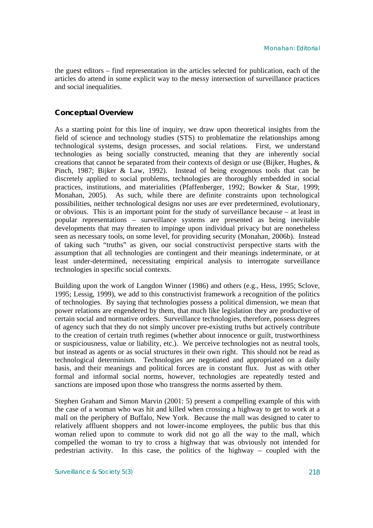the guest editors – find representation in the articles selected for publication, each of the articles do attend in some explicit way to the messy intersection of surveillance practices and social inequalities.

#### **Conceptual Overview**

As a starting point for this line of inquiry, we draw upon theoretical insights from the field of science and technology studies (STS) to problematize the relationships among technological systems, design processes, and social relations. First, we understand technologies as being socially constructed, meaning that they are inherently social creations that cannot be separated from their contexts of design or use (Bijker, Hughes, & Pinch, 1987; Bijker & Law, 1992). Instead of being exogenous tools that can be discretely applied to social problems, technologies are thoroughly embedded in social practices, institutions, and materialities (Pfaffenberger, 1992; Bowker & Star, 1999; Monahan, 2005). As such, while there are definite constraints upon technological possibilities, neither technological designs nor uses are ever predetermined, evolutionary, or obvious. This is an important point for the study of surveillance because – at least in popular representations – surveillance systems are presented as being inevitable developments that may threaten to impinge upon individual privacy but are nonetheless seen as necessary tools, on some level, for providing security (Monahan, 2006b). Instead of taking such "truths" as given, our social constructivist perspective starts with the assumption that all technologies are contingent and their meanings indeterminate, or at least under-determined, necessitating empirical analysis to interrogate surveillance technologies in specific social contexts.

Building upon the work of Langdon Winner (1986) and others (e.g., Hess, 1995; Sclove, 1995; Lessig, 1999), we add to this constructivist framework a recognition of the politics of technologies. By saying that technologies possess a political dimension, we mean that power relations are engendered by them, that much like legislation they are productive of certain social and normative orders. Surveillance technologies, therefore, possess degrees of agency such that they do not simply uncover pre-existing truths but actively contribute to the creation of certain truth regimes (whether about innocence or guilt, trustworthiness or suspiciousness, value or liability, etc.). We perceive technologies not as neutral tools, but instead as agents or as social structures in their own right. This should not be read as technological determinism. Technologies are negotiated and appropriated on a daily basis, and their meanings and political forces are in constant flux. Just as with other formal and informal social norms, however, technologies are repeatedly tested and sanctions are imposed upon those who transgress the norms asserted by them.

Stephen Graham and Simon Marvin (2001: 5) present a compelling example of this with the case of a woman who was hit and killed when crossing a highway to get to work at a mall on the periphery of Buffalo, New York. Because the mall was designed to cater to relatively affluent shoppers and not lower-income employees, the public bus that this woman relied upon to commute to work did not go all the way to the mall, which compelled the woman to try to cross a highway that was obviously not intended for pedestrian activity. In this case, the politics of the highway – coupled with the

*Surveillance & Society* 5(3) 218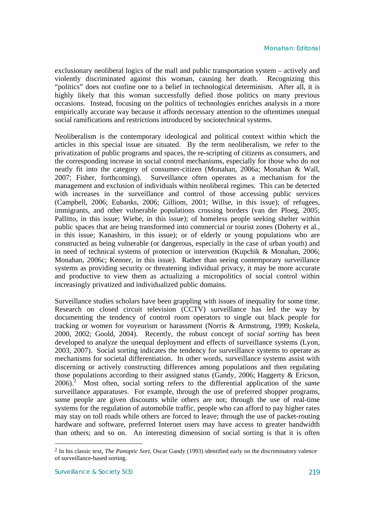exclusionary neoliberal logics of the mall and public transportation system – actively and violently discriminated against this woman, causing her death. Recognizing this "politics" does not confine one to a belief in technological determinism. After all, it is highly likely that this woman successfully defied those politics on many previous occasions. Instead, focusing on the politics of technologies enriches analysis in a more empirically accurate way because it affords necessary attention to the oftentimes unequal social ramifications and restrictions introduced by sociotechnical systems.

Neoliberalism is the contemporary ideological and political context within which the articles in this special issue are situated. By the term neoliberalism, we refer to the privatization of public programs and spaces, the re-scripting of citizens as consumers, and the corresponding increase in social control mechanisms, especially for those who do not neatly fit into the category of consumer-citizen (Monahan, 2006a; Monahan & Wall, 2007; Fisher, forthcoming). Surveillance often operates as a mechanism for the management and exclusion of individuals within neoliberal regimes. This can be detected with increases in the surveillance and control of those accessing public services (Campbell, 2006; Eubanks, 2006; Gilliom, 2001; Willse, in this issue); of refugees, immigrants, and other vulnerable populations crossing borders (van der Ploeg, 2005; Pallitto, in this issue; Wiebe, in this issue); of homeless people seeking shelter within public spaces that are being transformed into commercial or tourist zones (Doherty et al., in this issue; Kanashiro, in this issue); or of elderly or young populations who are constructed as being vulnerable (or dangerous, especially in the case of urban youth) and in need of technical systems of protection or intervention (Kupchik & Monahan, 2006; Monahan, 2006c; Kenner, in this issue). Rather than seeing contemporary surveillance systems as providing security or threatening individual privacy, it may be more accurate and productive to view them as actualizing a micropolitics of social control within increasingly privatized and individualized public domains.

Surveillance studies scholars have been grappling with issues of inequality for some time. Research on closed circuit television (CCTV) surveillance has led the way by documenting the tendency of control room operators to single out black people for tracking or women for voyeurism or harassment (Norris & Armstrong, 1999; Koskela, 2000, 2002; Goold, 2004). Recently, the robust concept of *social sorting* has been developed to analyze the unequal deployment and effects of surveillance systems (Lyon, 2003, 2007). Social sorting indicates the tendency for surveillance systems to operate as mechanisms for societal differentiation. In other words, surveillance systems assist with discerning or actively constructing differences among populations and then regulating those populations according to their assigned status (Gandy, 2006; Haggerty & Ericson,  $2006$ )<sup>2</sup> Most often, social sorting refers to the differential application of the *same* surveillance apparatuses. For example, through the use of preferred shopper programs, some people are given discounts while others are not; through the use of real-time systems for the regulation of automobile traffic, people who can afford to pay higher rates may stay on toll roads while others are forced to leave; through the use of packet-routing hardware and software, preferred Internet users may have access to greater bandwidth than others; and so on. An interesting dimension of social sorting is that it is often

 $\ddot{ }$ 

<sup>2</sup> In his classic text, *The Panoptic Sort*, Oscar Gandy (1993) identified early on the discriminatory valence of surveillance-based sorting.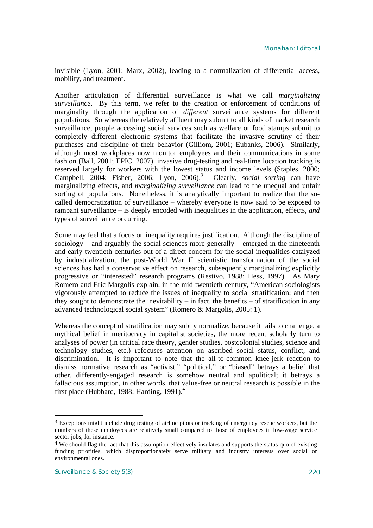invisible (Lyon, 2001; Marx, 2002), leading to a normalization of differential access, mobility, and treatment.

Another articulation of differential surveillance is what we call *marginalizing surveillance*. By this term, we refer to the creation or enforcement of conditions of marginality through the application of *different* surveillance systems for different populations. So whereas the relatively affluent may submit to all kinds of market research surveillance, people accessing social services such as welfare or food stamps submit to completely different electronic systems that facilitate the invasive scrutiny of their purchases and discipline of their behavior (Gilliom, 2001; Eubanks, 2006). Similarly, although most workplaces now monitor employees and their communications in some fashion (Ball, 2001; EPIC, 2007), invasive drug-testing and real-time location tracking is reserved largely for workers with the lowest status and income levels (Staples, 2000; Campbell, 2004; Fisher, 2006; Lyon, 2006).<sup>3</sup> Clearly, *social sorting* can have marginalizing effects, and *marginalizing surveillance* can lead to the unequal and unfair sorting of populations. Nonetheless, it is analytically important to realize that the socalled democratization of surveillance – whereby everyone is now said to be exposed to rampant surveillance – is deeply encoded with inequalities in the application, effects, *and* types of surveillance occurring.

Some may feel that a focus on inequality requires justification. Although the discipline of sociology – and arguably the social sciences more generally – emerged in the nineteenth and early twentieth centuries out of a direct concern for the social inequalities catalyzed by industrialization, the post-World War II scientistic transformation of the social sciences has had a conservative effect on research, subsequently marginalizing explicitly progressive or "interested" research programs (Restivo, 1988; Hess, 1997). As Mary Romero and Eric Margolis explain, in the mid-twentieth century, "American sociologists vigorously attempted to reduce the issues of inequality to social stratification; and then they sought to demonstrate the inevitability – in fact, the benefits – of stratification in any advanced technological social system" (Romero & Margolis, 2005: 1).

Whereas the concept of stratification may subtly normalize, because it fails to challenge, a mythical belief in meritocracy in capitalist societies, the more recent scholarly turn to analyses of power (in critical race theory, gender studies, postcolonial studies, science and technology studies, etc.) refocuses attention on ascribed social status, conflict, and discrimination. It is important to note that the all-to-common knee-jerk reaction to dismiss normative research as "activist," "political," or "biased" betrays a belief that other, differently-engaged research is somehow neutral and apolitical; it betrays a fallacious assumption, in other words, that value-free or neutral research is possible in the first place (Hubbard, 1988; Harding, 1991). $<sup>4</sup>$ </sup>

 $\ddot{ }$ 

<sup>&</sup>lt;sup>3</sup> Exceptions might include drug testing of airline pilots or tracking of emergency rescue workers, but the numbers of these employees are relatively small compared to those of employees in low-wage service sector jobs, for instance.

<sup>4</sup> We should flag the fact that this assumption effectively insulates and supports the status quo of existing funding priorities, which disproportionately serve military and industry interests over social or environmental ones.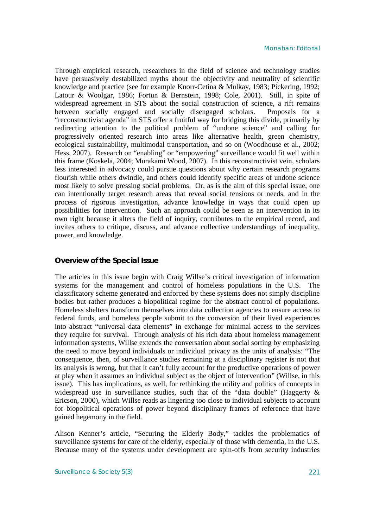Through empirical research, researchers in the field of science and technology studies have persuasively destabilized myths about the objectivity and neutrality of scientific knowledge and practice (see for example Knorr-Cetina & Mulkay, 1983; Pickering, 1992; Latour & Woolgar, 1986; Fortun & Bernstein, 1998; Cole, 2001). Still, in spite of widespread agreement in STS about the social construction of science, a rift remains between socially engaged and socially disengaged scholars. Proposals for a "reconstructivist agenda" in STS offer a fruitful way for bridging this divide, primarily by redirecting attention to the political problem of "undone science" and calling for progressively oriented research into areas like alternative health, green chemistry, ecological sustainability, multimodal transportation, and so on (Woodhouse et al., 2002; Hess, 2007). Research on "enabling" or "empowering" surveillance would fit well within this frame (Koskela, 2004; Murakami Wood, 2007). In this reconstructivist vein, scholars less interested in advocacy could pursue questions about why certain research programs flourish while others dwindle, and others could identify specific areas of undone science most likely to solve pressing social problems. Or, as is the aim of this special issue, one can intentionally target research areas that reveal social tensions or needs, and in the process of rigorous investigation, advance knowledge in ways that could open up possibilities for intervention. Such an approach could be seen as an intervention in its own right because it alters the field of inquiry, contributes to the empirical record, and invites others to critique, discuss, and advance collective understandings of inequality, power, and knowledge.

#### **Overview of the Special Issue**

The articles in this issue begin with Craig Willse's critical investigation of information systems for the management and control of homeless populations in the U.S. The classificatory scheme generated and enforced by these systems does not simply discipline bodies but rather produces a biopolitical regime for the abstract control of populations. Homeless shelters transform themselves into data collection agencies to ensure access to federal funds, and homeless people submit to the conversion of their lived experiences into abstract "universal data elements" in exchange for minimal access to the services they require for survival. Through analysis of his rich data about homeless management information systems, Willse extends the conversation about social sorting by emphasizing the need to move beyond individuals or individual privacy as the units of analysis: "The consequence, then, of surveillance studies remaining at a disciplinary register is not that its analysis is wrong, but that it can't fully account for the productive operations of power at play when it assumes an individual subject as the object of intervention" (Willse, in this issue). This has implications, as well, for rethinking the utility and politics of concepts in widespread use in surveillance studies, such that of the "data double" (Haggerty & Ericson, 2000), which Willse reads as lingering too close to individual subjects to account for biopolitical operations of power beyond disciplinary frames of reference that have gained hegemony in the field.

Alison Kenner's article, "Securing the Elderly Body," tackles the problematics of surveillance systems for care of the elderly, especially of those with dementia, in the U.S. Because many of the systems under development are spin-offs from security industries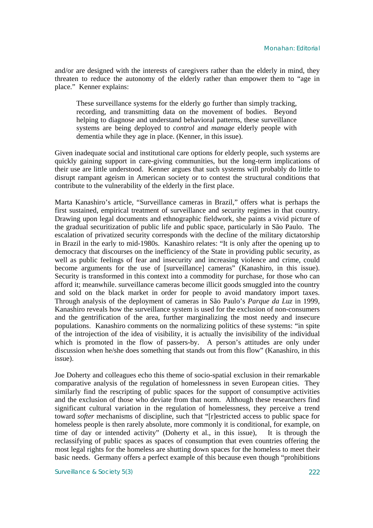and/or are designed with the interests of caregivers rather than the elderly in mind, they threaten to reduce the autonomy of the elderly rather than empower them to "age in place." Kenner explains:

These surveillance systems for the elderly go further than simply tracking, recording, and transmitting data on the movement of bodies. Beyond helping to diagnose and understand behavioral patterns, these surveillance systems are being deployed to *control* and *manage* elderly people with dementia while they age in place. (Kenner, in this issue).

Given inadequate social and institutional care options for elderly people, such systems are quickly gaining support in care-giving communities, but the long-term implications of their use are little understood. Kenner argues that such systems will probably do little to disrupt rampant ageism in American society or to contest the structural conditions that contribute to the vulnerability of the elderly in the first place.

Marta Kanashiro's article, "Surveillance cameras in Brazil," offers what is perhaps the first sustained, empirical treatment of surveillance and security regimes in that country. Drawing upon legal documents and ethnographic fieldwork, she paints a vivid picture of the gradual securitization of public life and public space, particularly in São Paulo. The escalation of privatized security corresponds with the decline of the military dictatorship in Brazil in the early to mid-1980s. Kanashiro relates: "It is only after the opening up to democracy that discourses on the inefficiency of the State in providing public security, as well as public feelings of fear and insecurity and increasing violence and crime, could become arguments for the use of [surveillance] cameras" (Kanashiro, in this issue). Security is transformed in this context into a commodity for purchase, for those who can afford it; meanwhile. surveillance cameras become illicit goods smuggled into the country and sold on the black market in order for people to avoid mandatory import taxes. Through analysis of the deployment of cameras in São Paulo's *Parque da Luz* in 1999, Kanashiro reveals how the surveillance system is used for the exclusion of non-consumers and the gentrification of the area, further marginalizing the most needy and insecure populations. Kanashiro comments on the normalizing politics of these systems: "in spite of the introjection of the idea of visibility, it is actually the invisibility of the individual which is promoted in the flow of passers-by. A person's attitudes are only under discussion when he/she does something that stands out from this flow" (Kanashiro, in this issue).

Joe Doherty and colleagues echo this theme of socio-spatial exclusion in their remarkable comparative analysis of the regulation of homelessness in seven European cities. They similarly find the rescripting of public spaces for the support of consumptive activities and the exclusion of those who deviate from that norm. Although these researchers find significant cultural variation in the regulation of homelessness, they perceive a trend toward *softer* mechanisms of discipline, such that "[r]estricted access to public space for homeless people is then rarely absolute, more commonly it is conditional, for example, on time of day or intended activity" (Doherty et al., in this issue), It is through the reclassifying of public spaces as spaces of consumption that even countries offering the most legal rights for the homeless are shutting down spaces for the homeless to meet their basic needs. Germany offers a perfect example of this because even though "prohibitions

*Surveillance & Society* 5(3) 222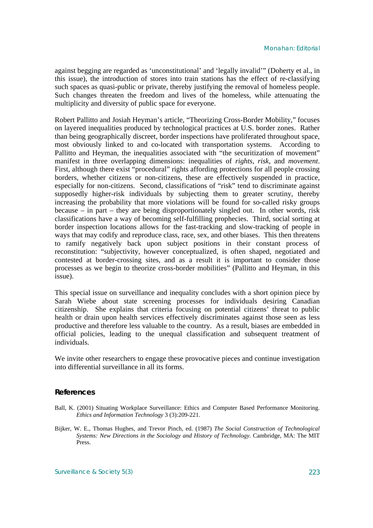against begging are regarded as 'unconstitutional' and 'legally invalid'" (Doherty et al., in this issue), the introduction of stores into train stations has the effect of re-classifying such spaces as quasi-public or private, thereby justifying the removal of homeless people. Such changes threaten the freedom and lives of the homeless, while attenuating the multiplicity and diversity of public space for everyone.

Robert Pallitto and Josiah Heyman's article, "Theorizing Cross-Border Mobility," focuses on layered inequalities produced by technological practices at U.S. border zones. Rather than being geographically discreet, border inspections have proliferated throughout space, most obviously linked to and co-located with transportation systems. According to Pallitto and Heyman, the inequalities associated with "the securitization of movement" manifest in three overlapping dimensions: inequalities of *rights*, *risk*, and *movement*. First, although there exist "procedural" rights affording protections for all people crossing borders, whether citizens or non-citizens, these are effectively suspended in practice, especially for non-citizens. Second, classifications of "risk" tend to discriminate against supposedly higher-risk individuals by subjecting them to greater scrutiny, thereby increasing the probability that more violations will be found for so-called risky groups because – in part – they are being disproportionately singled out. In other words, risk classifications have a way of becoming self-fulfilling prophecies. Third, social sorting at border inspection locations allows for the fast-tracking and slow-tracking of people in ways that may codify and reproduce class, race, sex, and other biases. This then threatens to ramify negatively back upon subject positions in their constant process of reconstitution: "subjectivity, however conceptualized, is often shaped, negotiated and contested at border-crossing sites, and as a result it is important to consider those processes as we begin to theorize cross-border mobilities" (Pallitto and Heyman, in this issue).

This special issue on surveillance and inequality concludes with a short opinion piece by Sarah Wiebe about state screening processes for individuals desiring Canadian citizenship. She explains that criteria focusing on potential citizens' threat to public health or drain upon health services effectively discriminates against those seen as less productive and therefore less valuable to the country. As a result, biases are embedded in official policies, leading to the unequal classification and subsequent treatment of individuals.

We invite other researchers to engage these provocative pieces and continue investigation into differential surveillance in all its forms.

#### **References**

- Ball, K. (2001) Situating Workplace Surveillance: Ethics and Computer Based Performance Monitoring. *Ethics and Information Technology* 3 (3):209-221.
- Bijker, W. E., Thomas Hughes, and Trevor Pinch, ed. (1987) *The Social Construction of Technological Systems: New Directions in the Sociology and History of Technology*. Cambridge, MA: The MIT Press.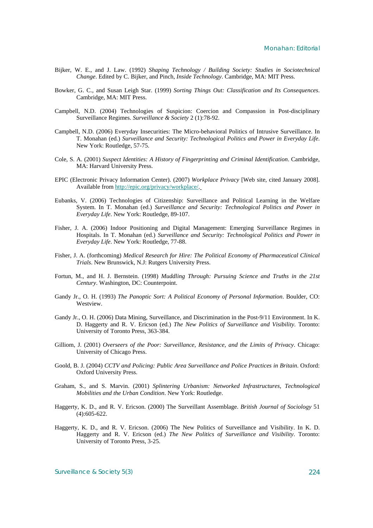- Bijker, W. E., and J. Law. (1992) *Shaping Technology / Building Society: Studies in Sociotechnical Change*. Edited by C. Bijker, and Pinch, *Inside Technology*. Cambridge, MA: MIT Press.
- Bowker, G. C., and Susan Leigh Star. (1999) *Sorting Things Out: Classification and Its Consequences*. Cambridge, MA: MIT Press.
- Campbell, N.D. (2004) Technologies of Suspicion: Coercion and Compassion in Post-disciplinary Surveillance Regimes. *Surveillance & Society* 2 (1):78-92.
- Campbell, N.D. (2006) Everyday Insecurities: The Micro-behavioral Politics of Intrusive Surveillance. In T. Monahan (ed.) *Surveillance and Security: Technological Politics and Power in Everyday Life*. New York: Routledge, 57-75.
- Cole, S. A. (2001) *Suspect Identities: A History of Fingerprinting and Criminal Identification*. Cambridge, MA: Harvard University Press.
- EPIC (Electronic Privacy Information Center). (2007) *Workplace Privacy* [Web site, cited January 2008]. Available from [http://epic.org/privacy/workplace/.](http://epic.org/privacy/workplace/)
- Eubanks, V. (2006) Technologies of Citizenship: Surveillance and Political Learning in the Welfare System. In T. Monahan (ed.) *Surveillance and Security: Technological Politics and Power in Everyday Life*. New York: Routledge, 89-107.
- Fisher, J. A. (2006) Indoor Positioning and Digital Management: Emerging Surveillance Regimes in Hospitals. In T. Monahan (ed.) *Surveillance and Security: Technological Politics and Power in Everyday Life*. New York: Routledge, 77-88.
- Fisher, J. A. (forthcoming) *Medical Research for Hire: The Political Economy of Pharmaceutical Clinical Trials*. New Brunswick, N.J: Rutgers University Press.
- Fortun, M., and H. J. Bernstein. (1998) *Muddling Through: Pursuing Science and Truths in the 21st Century*. Washington, DC: Counterpoint.
- Gandy Jr., O. H. (1993) *The Panoptic Sort: A Political Economy of Personal Information*. Boulder, CO: Westview.
- Gandy Jr., O. H. (2006) Data Mining, Surveillance, and Discrimination in the Post-9/11 Environment. In K. D. Haggerty and R. V. Ericson (ed.) *The New Politics of Surveillance and Visibility*. Toronto: University of Toronto Press, 363-384.
- Gilliom, J. (2001) *Overseers of the Poor: Surveillance, Resistance, and the Limits of Privacy*. Chicago: University of Chicago Press.
- Goold, B. J. (2004) *CCTV and Policing: Public Area Surveillance and Police Practices in Britain*. Oxford: Oxford University Press.
- Graham, S., and S. Marvin. (2001) *Splintering Urbanism: Networked Infrastructures, Technological Mobilities and the Urban Condition*. New York: Routledge.
- Haggerty, K. D., and R. V. Ericson. (2000) The Surveillant Assemblage. *British Journal of Sociology* 51 (4):605-622.
- Haggerty, K. D., and R. V. Ericson. (2006) The New Politics of Surveillance and Visibility. In K. D. Haggerty and R. V. Ericson (ed.) *The New Politics of Surveillance and Visibility*. Toronto: University of Toronto Press, 3-25.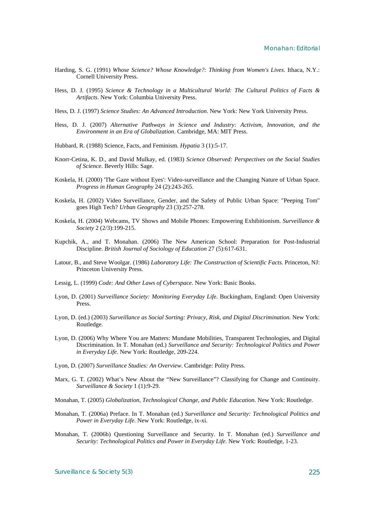- Harding, S. G. (1991) *Whose Science? Whose Knowledge?: Thinking from Women's Lives*. Ithaca, N.Y.: Cornell University Press.
- Hess, D. J. (1995) *Science & Technology in a Multicultural World: The Cultural Politics of Facts & Artifacts*. New York: Columbia University Press.
- Hess, D. J. (1997) *Science Studies: An Advanced Introduction*. New York: New York University Press.
- Hess, D. J. (2007) *Alternative Pathways in Science and Industry: Activism, Innovation, and the Environment in an Era of Globalization*. Cambridge, MA: MIT Press.
- Hubbard, R. (1988) Science, Facts, and Feminism. *Hypatia* 3 (1):5-17.
- Knorr-Cetina, K. D., and David Mulkay, ed. (1983) *Science Observed: Perspectives on the Social Studies of Science*. Beverly Hills: Sage.
- Koskela, H. (2000) 'The Gaze without Eyes': Video-surveillance and the Changing Nature of Urban Space. *Progress in Human Geography* 24 (2):243-265.
- Koskela, H. (2002) Video Surveillance, Gender, and the Safety of Public Urban Space: "Peeping Tom" goes High Tech? *Urban Geography* 23 (3):257-278.
- Koskela, H. (2004) Webcams, TV Shows and Mobile Phones: Empowering Exhibitionism. *Surveillance & Society* 2 (2/3):199-215.
- Kupchik, A., and T. Monahan. (2006) The New American School: Preparation for Post-Industrial Discipline. *British Journal of Sociology of Education* 27 (5):617-631.
- Latour, B., and Steve Woolgar. (1986) *Laboratory Life: The Construction of Scientific Facts*. Princeton, NJ: Princeton University Press.
- Lessig, L. (1999) *Code: And Other Laws of Cyberspace*. New York: Basic Books.
- Lyon, D. (2001) *Surveillance Society: Monitoring Everyday Life*. Buckingham, England: Open University Press.
- Lyon, D. (ed.) (2003) *Surveillance as Social Sorting: Privacy, Risk, and Digital Discrimination*. New York: Routledge.
- Lyon, D. (2006) Why Where You are Matters: Mundane Mobilities, Transparent Technologies, and Digital Discrimination. In T. Monahan (ed.) *Surveillance and Security: Technological Politics and Power in Everyday Life*. New York: Routledge, 209-224.
- Lyon, D. (2007) *Surveillance Studies: An Overview*. Cambridge: Polity Press.
- Marx, G. T. (2002) What's New About the "New Surveillance"? Classifying for Change and Continuity. *Surveillance & Society* 1 (1):9-29.
- Monahan, T. (2005) *Globalization, Technological Change, and Public Education*. New York: Routledge.
- Monahan, T. (2006a) Preface. In T. Monahan (ed.) *Surveillance and Security: Technological Politics and Power in Everyday Life*. New York: Routledge, ix-xi.
- Monahan, T. (2006b) Questioning Surveillance and Security. In T. Monahan (ed.) *Surveillance and Security: Technological Politics and Power in Everyday Life*. New York: Routledge, 1-23.